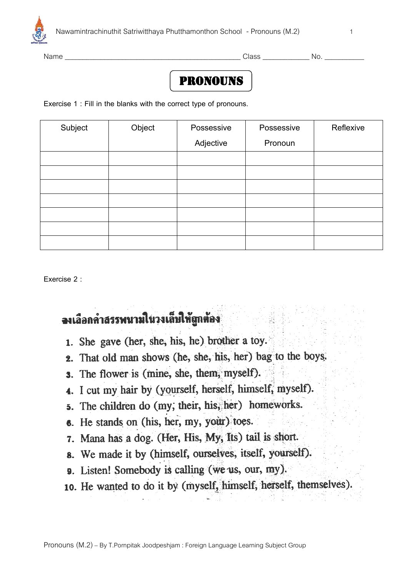

Name \_\_\_\_\_\_\_\_\_\_\_\_\_\_\_\_\_\_\_\_\_\_\_\_\_\_\_\_\_\_\_\_\_\_\_\_\_\_\_\_\_\_\_\_\_\_\_\_\_ Class \_\_\_\_\_\_\_\_\_\_\_\_\_ No. \_\_\_\_\_\_\_\_\_\_\_

## **PRONOUNS**

**Exercise 1 : Fill in the blanks with the correct type of pronouns.**

| Subject | Object | Possessive | Possessive | Reflexive |
|---------|--------|------------|------------|-----------|
|         |        | Adjective  | Pronoun    |           |
|         |        |            |            |           |
|         |        |            |            |           |
|         |        |            |            |           |
|         |        |            |            |           |
|         |        |            |            |           |
|         |        |            |            |           |
|         |        |            |            |           |

**Exercise 2 :** 

## จงเลือกคำสรรพนามในวงเล็บให้ถูกต้อง

- 1. She gave (her, she, his, he) brother a toy.
- 2. That old man shows (he, she, his, her) bag to the boys.
- **3.** The flower is (mine, she, them, myself).
- 4. I cut my hair by (yourself, herself, himself, myself).
- 5. The children do (my, their, his, her) homeworks.
- 6. He stands on (his, her, my, your) toes.
- 7. Mana has a dog. (Her, His, My, Its) tail is short.
- 8. We made it by (himself, ourselves, itself, yourself).
- 9. Listen! Somebody is calling (we us, our, my).
- 10. He wanted to do it by (myself, himself, herself, themselves).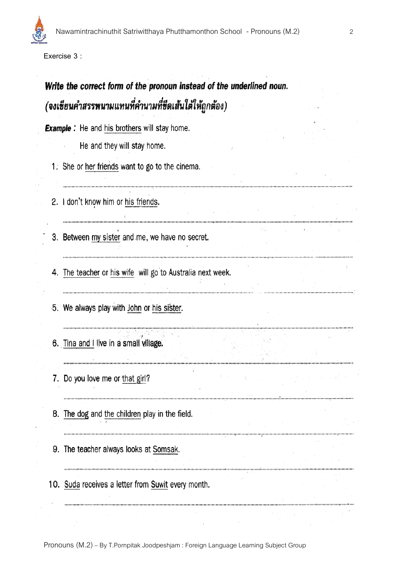**Exercise 3 :**

# Write the correct form of the pronoun instead of the underlined noun. (จงเชียนคำสรรพนามแทนที่คำนามที่ชีดเส้นใต้ให้ถูกต้อง)

**Example :** He and his brothers will stay home.

He and they will stay home.

- 1. She or her friends want to go to the cinema.
- 2. I don't know him or his friends.
- 3. Between my sister and me, we have no secret.
- 4. The teacher or his wife will go to Australia next week.

しょうしょう しょうしょう しょうしょう あたし スーパー・シーン

- 5. We always play with John or his sister.
- 6. Tina and I live in a small village.
- 7. Do you love me or that girl?
- 8. The dog and the children play in the field.
- 9. The teacher always looks at Somsak.
- 10. Suda receives a letter from Suwit every month.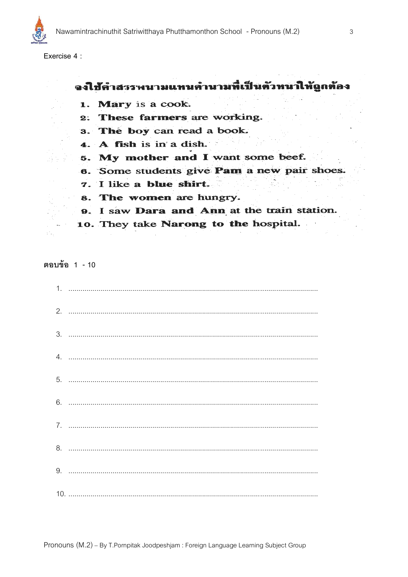

Exercise 4 :

### จงใช้คำสรรพนามแทนคำนามที่เป็นตัวหนาให้ถูกต้อง

- 1. Mary is a cook.
- 2. These farmers are working.
- 3. The boy can read a book.
- 4. A fish is in a dish.
- 5. My mother and I want some beef.
- 6. Some students give Pam a new pair shoes.
- 7. I like a blue shirt.
- 8. The women are hungry.
- 9. I saw Dara and Ann at the train station.
- 10. They take Narong to the hospital.

ตอบข้อ 1 - 10